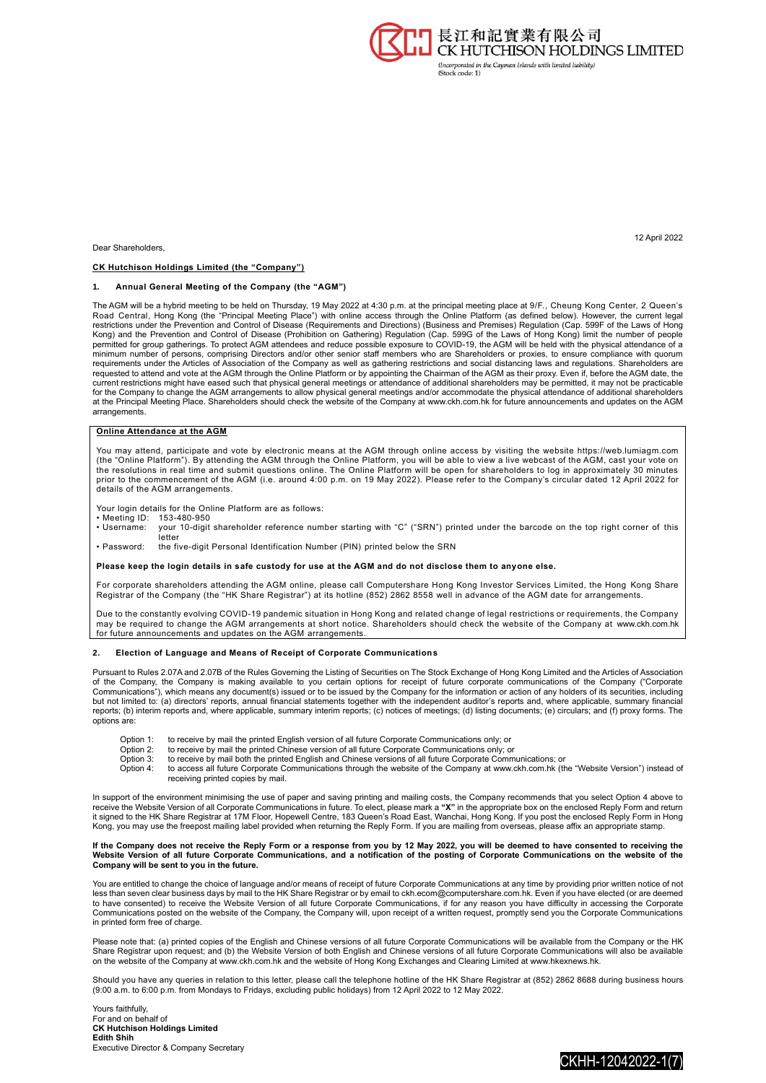

12 April 2022

Dear Shareholders,

#### **CK Hutchison Holdings Limited (the "Company")**

#### **1. Annual General Meeting of the Company (the "AGM")**

The AGM will be a hybrid meeting to be held on Thursday, 19 May 2022 at 4:30 p.m. at the principal meeting place at 9/F., Cheung Kong Center, 2 Queen's<br>Road Central, Hong Kong (the "Principal Meeting Place") with online ac Kong) and the Prevention and Control of Disease (Prohibition on Gathering) Regulation (Cap. 599G of the Laws of Hong Kong) limit the number of people<br>permitted for group gatherings. To protect AGM attendees and reduce poss minimum number of persons, comprising Directors and/or other senior staff members who are Shareholders or proxies, to ensure compliance with quorum requirements under the Articles of Association of the Company as well as gathering restrictions and social distancing laws and regulations. Shareholders are<br>requested to attend and vote at the AGM through the Online Platfo for the Company to change the AGM arrangements to allow physical general meetings and/or accommodate the physical attendance of additional shareholders at the Principal Meeting Place. Shareholders should check the website of the Company at www.ckh.com.hk for future announcements and updates on the AGM arrangements.

## **Online Attendance at the AGM**

You may attend, participate and vote by electronic means at the AGM through online access by visiting the website https://web.lumiagm.com<br>(the "Online Platform"). By attending the AGM through the Online Platform, you will prior to the commencement of the AGM (i.e. around 4:00 p.m. on 19 May 2022). Please refer to the Company's circular dated 12 April 2022 for details of the AGM arrangements.

Your login details for the Online Platform are as follows:

- 
- Meeting ID: 153-480-950<br>• Username: your 10-digit • Username: your 10-digit shareholder reference number starting with "C" ("SRN") printed under the barcode on the top right corner of this letter
- Password: the five-digit Personal Identification Number (PIN) printed below the SRN

**Please keep the login details in safe custody for use at the AGM and do not disclose them to anyone else.**

For corporate shareholders attending the AGM online, please call Computershare Hong Kong Investor Services Limited, the Hong Kong Share Registrar of the Company (the "HK Share Registrar") at its hotline (852) 2862 8558 well in advance of the AGM date for arrangements.

Due to the constantly evolving COVID-19 pandemic situation in Hong Kong and related change of legal restrictions or requirements, the Company may be required to change the AGM arrangements at short notice. Shareholders should check the website of the Company at www.ckh.com.hk for future announcements and updates on the AGM arrangements.

### **2. Election of Language and Means of Receipt of Corporate Communications**

Pursuant to Rules 2.07A and 2.07B of the Rules Governing the Listing of Securities on The Stock Exchange of Hong Kong Limited and the Articles of Association<br>of the Company, the Company is making available to you c Communications"), which means any document(s) issued or to be issued by the Company for the information or action of any holders of its securities, including<br>but not limited to: (a) directors' reports, annual financial sta reports; (b) interim reports and, where applicable, summary interim reports; (c) notices of meetings; (d) listing documents; (e) circulars; and (f) proxy forms. The options are:

- Option 1: to receive by mail the printed English version of all future Corporate Communications only; or Option 2: to receive by mail the printed Chinese version of all future Corporate Communications only: c
- Option 2: to receive by mail the printed Chinese version of all future Corporate Communications only; or Option 3: to receive by mail both the printed English and Chinese versions of all future Corporate Communications; or
- 
- Option 4: to access all future Corporate Communications through the website of the Company at www.ckh.com.hk (the "Website Version") instead of receiving printed copies by mail.

In support of the environment minimising the use of paper and saving printing and mailing costs, the Company recommends that you select Option 4 above to<br>receive the Website Version of all Corporate Communications in futur Kong, you may use the freepost mailing label provided when returning the Reply Form. If you are mailing from overseas, please affix an appropriate stamp.

# If the Company does not receive the Reply Form or a response from you by 12 May 2022, you will be deemed to have consented to receiving the<br>Website Version of all future Corporate Communications, and a notification of the **Company will be sent to you in the future.**

You are entitled to change the choice of language and/or means of receipt of future Corporate Communications at any time by providing prior written notice of not less than seven clear business days by mail to the HK Share Registrar or by email to ckh.ecom@computershare.com.hk. Even if you have elected (or are deemed<br>to have consented) to receive the Website Version of all future Co Communications posted on the website of the Company, the Company will, upon receipt of a written request, promptly send you the Corporate Communications in printed form free of charge.

Please note that: (a) printed copies of the English and Chinese versions of all future Corporate Communications will be available from the Company or the HK Share Registrar upon request; and (b) the Website Version of both English and Chinese versions of all future Corporate Communications will also be available<br>on the website of the Company at www.ckh.com.hk and the website o

Should you have any queries in relation to this letter, please call the telephone hotline of the HK Share Registrar at (852) 2862 8688 during business hours<br>(9:00 a.m. to 6:00 p.m. from Mondays to Fridays, excluding public

Yours faithfully, For and on behalf of **CK Hutchison Holdings Limited Edith Shih** Executive Director & Company Secretary